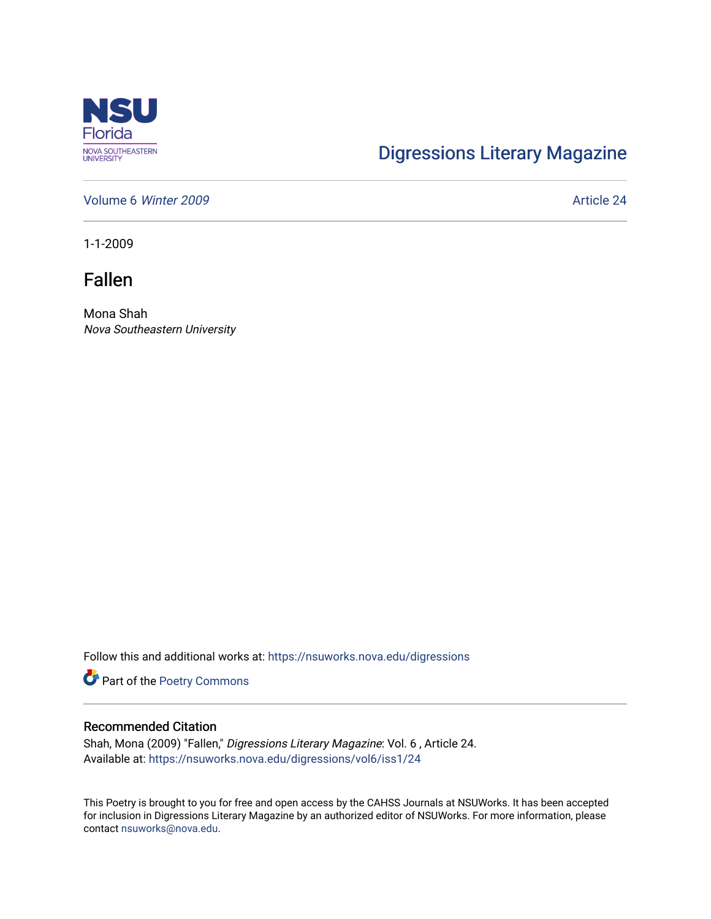

## [Digressions Literary Magazine](https://nsuworks.nova.edu/digressions)

[Volume 6](https://nsuworks.nova.edu/digressions/vol6) Winter 2009 **Article 24** Article 24

1-1-2009

Fallen

Mona Shah Nova Southeastern University

Follow this and additional works at: [https://nsuworks.nova.edu/digressions](https://nsuworks.nova.edu/digressions?utm_source=nsuworks.nova.edu%2Fdigressions%2Fvol6%2Fiss1%2F24&utm_medium=PDF&utm_campaign=PDFCoverPages) 

Part of the [Poetry Commons](http://network.bepress.com/hgg/discipline/1153?utm_source=nsuworks.nova.edu%2Fdigressions%2Fvol6%2Fiss1%2F24&utm_medium=PDF&utm_campaign=PDFCoverPages) 

## Recommended Citation

Shah, Mona (2009) "Fallen," Digressions Literary Magazine: Vol. 6 , Article 24. Available at: [https://nsuworks.nova.edu/digressions/vol6/iss1/24](https://nsuworks.nova.edu/digressions/vol6/iss1/24?utm_source=nsuworks.nova.edu%2Fdigressions%2Fvol6%2Fiss1%2F24&utm_medium=PDF&utm_campaign=PDFCoverPages) 

This Poetry is brought to you for free and open access by the CAHSS Journals at NSUWorks. It has been accepted for inclusion in Digressions Literary Magazine by an authorized editor of NSUWorks. For more information, please contact [nsuworks@nova.edu.](mailto:nsuworks@nova.edu)